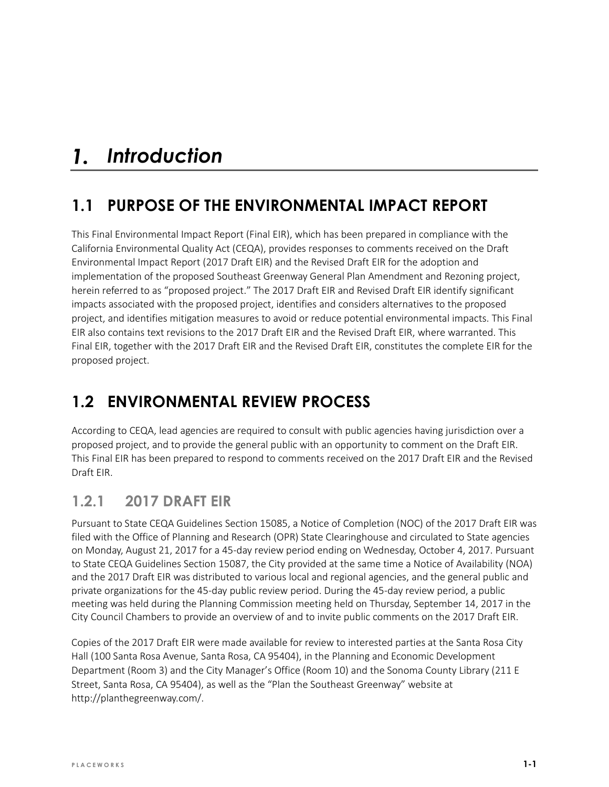#### *Introduction*  $\mathbf{1}$ .

# **1.1 PURPOSE OF THE ENVIRONMENTAL IMPACT REPORT**

This Final Environmental Impact Report (Final EIR), which has been prepared in compliance with the California Environmental Quality Act (CEQA), provides responses to comments received on the Draft Environmental Impact Report (2017 Draft EIR) and the Revised Draft EIR for the adoption and implementation of the proposed Southeast Greenway General Plan Amendment and Rezoning project, herein referred to as "proposed project." The 2017 Draft EIR and Revised Draft EIR identify significant impacts associated with the proposed project, identifies and considers alternatives to the proposed project, and identifies mitigation measures to avoid or reduce potential environmental impacts. This Final EIR also contains text revisions to the 2017 Draft EIR and the Revised Draft EIR, where warranted. This Final EIR, together with the 2017 Draft EIR and the Revised Draft EIR, constitutes the complete EIR for the proposed project.

# **1.2 ENVIRONMENTAL REVIEW PROCESS**

According to CEQA, lead agencies are required to consult with public agencies having jurisdiction over a proposed project, and to provide the general public with an opportunity to comment on the Draft EIR. This Final EIR has been prepared to respond to comments received on the 2017 Draft EIR and the Revised Draft EIR.

### **1.2.1 2017 DRAFT EIR**

Pursuant to State CEQA Guidelines Section 15085, a Notice of Completion (NOC) of the 2017 Draft EIR was filed with the Office of Planning and Research (OPR) State Clearinghouse and circulated to State agencies on Monday, August 21, 2017 for a 45-day review period ending on Wednesday, October 4, 2017. Pursuant to State CEQA Guidelines Section 15087, the City provided at the same time a Notice of Availability (NOA) and the 2017 Draft EIR was distributed to various local and regional agencies, and the general public and private organizations for the 45-day public review period. During the 45-day review period, a public meeting was held during the Planning Commission meeting held on Thursday, September 14, 2017 in the City Council Chambers to provide an overview of and to invite public comments on the 2017 Draft EIR.

Copies of the 2017 Draft EIR were made available for review to interested parties at the Santa Rosa City Hall (100 Santa Rosa Avenue, Santa Rosa, CA 95404), in the Planning and Economic Development Department (Room 3) and the City Manager's Office (Room 10) and the Sonoma County Library (211 E Street, Santa Rosa, CA 95404), as well as the "Plan the Southeast Greenway" website at [http://planthegreenway.com/.](http://planthegreenway.com/)